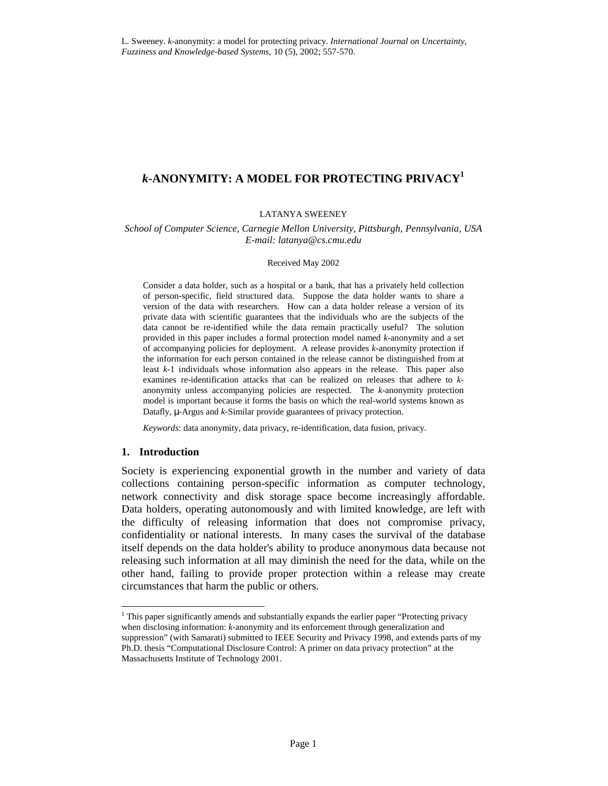# *k***-ANONYMITY: A MODEL FOR PROTECTING PRIVACY1**

#### LATANYA SWEENEY

#### *School of Computer Science, Carnegie Mellon University, Pittsburgh, Pennsylvania, USA E-mail: latanya@cs.cmu.edu*

#### Received May 2002

Consider a data holder, such as a hospital or a bank, that has a privately held collection of person-specific, field structured data. Suppose the data holder wants to share a version of the data with researchers. How can a data holder release a version of its private data with scientific guarantees that the individuals who are the subjects of the data cannot be re-identified while the data remain practically useful? The solution provided in this paper includes a formal protection model named *k*-anonymity and a set of accompanying policies for deployment. A release provides *k*-anonymity protection if the information for each person contained in the release cannot be distinguished from at least *k*-1 individuals whose information also appears in the release. This paper also examines re-identification attacks that can be realized on releases that adhere to *k*anonymity unless accompanying policies are respected. The *k*-anonymity protection model is important because it forms the basis on which the real-world systems known as Datafly, µ-Argus and *k*-Similar provide guarantees of privacy protection.

*Keywords*: data anonymity, data privacy, re-identification, data fusion, privacy.

#### **1. Introduction**

Society is experiencing exponential growth in the number and variety of data collections containing person-specific information as computer technology, network connectivity and disk storage space become increasingly affordable. Data holders, operating autonomously and with limited knowledge, are left with the difficulty of releasing information that does not compromise privacy, confidentiality or national interests. In many cases the survival of the database itself depends on the data holder's ability to produce anonymous data because not releasing such information at all may diminish the need for the data, while on the other hand, failing to provide proper protection within a release may create circumstances that harm the public or others.

 $1$  This paper significantly amends and substantially expands the earlier paper "Protecting privacy when disclosing information: *k*-anonymity and its enforcement through generalization and suppression" (with Samarati) submitted to IEEE Security and Privacy 1998, and extends parts of my Ph.D. thesis "Computational Disclosure Control: A primer on data privacy protection" at the Massachusetts Institute of Technology 2001.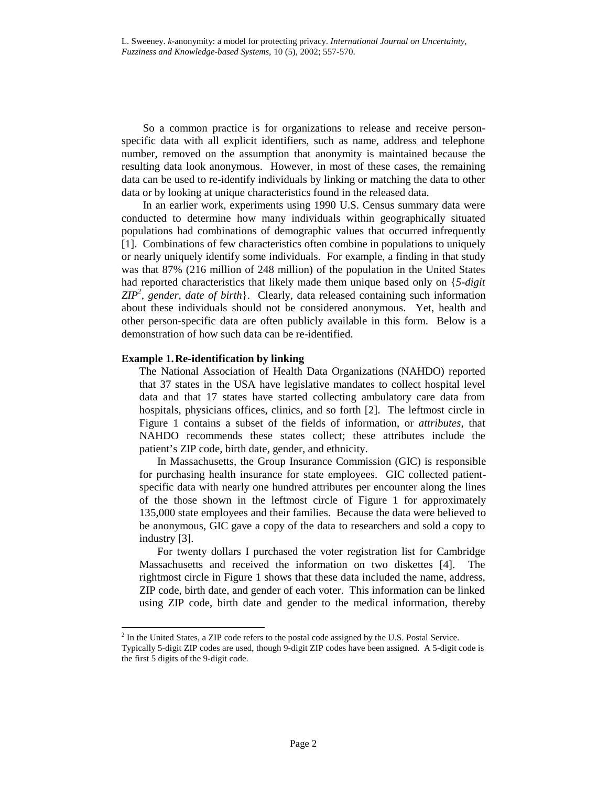So a common practice is for organizations to release and receive personspecific data with all explicit identifiers, such as name, address and telephone number, removed on the assumption that anonymity is maintained because the resulting data look anonymous. However, in most of these cases, the remaining data can be used to re-identify individuals by linking or matching the data to other data or by looking at unique characteristics found in the released data.

In an earlier work, experiments using 1990 U.S. Census summary data were conducted to determine how many individuals within geographically situated populations had combinations of demographic values that occurred infrequently [1]. Combinations of few characteristics often combine in populations to uniquely or nearly uniquely identify some individuals. For example, a finding in that study was that 87% (216 million of 248 million) of the population in the United States had reported characteristics that likely made them unique based only on {*5-digit ZIP2* , *gender*, *date of birth*}. Clearly, data released containing such information about these individuals should not be considered anonymous. Yet, health and other person-specific data are often publicly available in this form. Below is a demonstration of how such data can be re-identified.

#### **Example 1.Re-identification by linking**

The National Association of Health Data Organizations (NAHDO) reported that 37 states in the USA have legislative mandates to collect hospital level data and that 17 states have started collecting ambulatory care data from hospitals, physicians offices, clinics, and so forth [2]. The leftmost circle in Figure 1 contains a subset of the fields of information, or *attributes*, that NAHDO recommends these states collect; these attributes include the patient's ZIP code, birth date, gender, and ethnicity.

In Massachusetts, the Group Insurance Commission (GIC) is responsible for purchasing health insurance for state employees. GIC collected patientspecific data with nearly one hundred attributes per encounter along the lines of the those shown in the leftmost circle of Figure 1 for approximately 135,000 state employees and their families. Because the data were believed to be anonymous, GIC gave a copy of the data to researchers and sold a copy to industry [3].

For twenty dollars I purchased the voter registration list for Cambridge Massachusetts and received the information on two diskettes [4]. The rightmost circle in Figure 1 shows that these data included the name, address, ZIP code, birth date, and gender of each voter. This information can be linked using ZIP code, birth date and gender to the medical information, thereby

 $2$  In the United States, a ZIP code refers to the postal code assigned by the U.S. Postal Service. Typically 5-digit ZIP codes are used, though 9-digit ZIP codes have been assigned. A 5-digit code is the first 5 digits of the 9-digit code.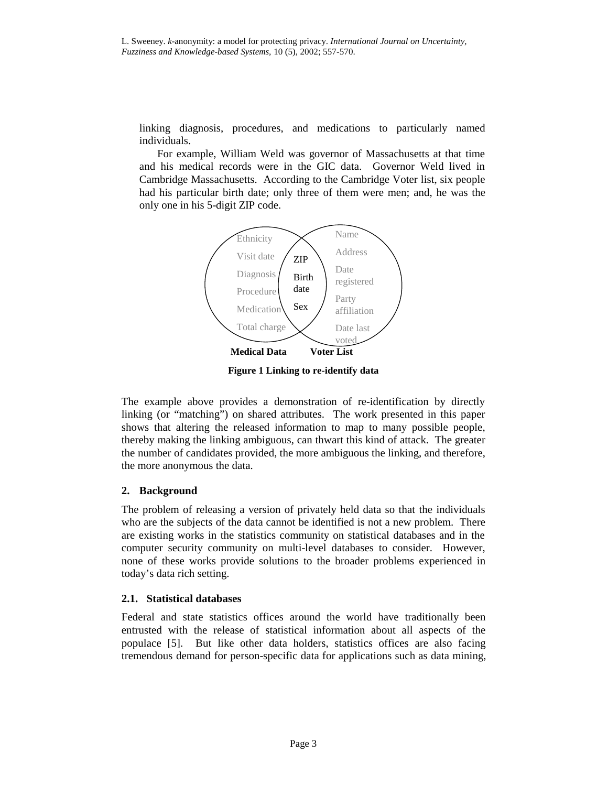linking diagnosis, procedures, and medications to particularly named individuals.

For example, William Weld was governor of Massachusetts at that time and his medical records were in the GIC data. Governor Weld lived in Cambridge Massachusetts. According to the Cambridge Voter list, six people had his particular birth date; only three of them were men; and, he was the only one in his 5-digit ZIP code.



**Figure 1 Linking to re-identify data**

The example above provides a demonstration of re-identification by directly linking (or "matching") on shared attributes. The work presented in this paper shows that altering the released information to map to many possible people, thereby making the linking ambiguous, can thwart this kind of attack. The greater the number of candidates provided, the more ambiguous the linking, and therefore, the more anonymous the data.

## **2. Background**

The problem of releasing a version of privately held data so that the individuals who are the subjects of the data cannot be identified is not a new problem. There are existing works in the statistics community on statistical databases and in the computer security community on multi-level databases to consider. However, none of these works provide solutions to the broader problems experienced in today's data rich setting.

## **2.1. Statistical databases**

Federal and state statistics offices around the world have traditionally been entrusted with the release of statistical information about all aspects of the populace [5]. But like other data holders, statistics offices are also facing tremendous demand for person-specific data for applications such as data mining,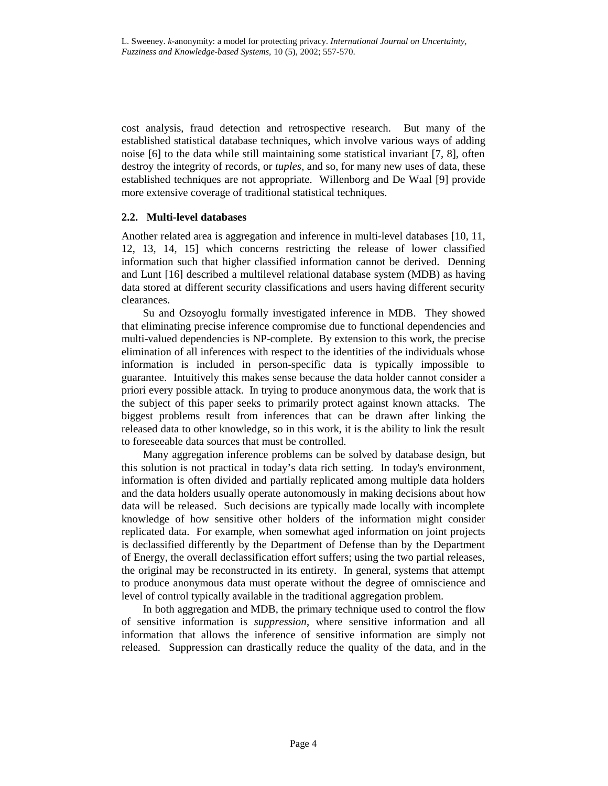cost analysis, fraud detection and retrospective research. But many of the established statistical database techniques, which involve various ways of adding noise [6] to the data while still maintaining some statistical invariant [7, 8], often destroy the integrity of records, or *tuples*, and so, for many new uses of data, these established techniques are not appropriate. Willenborg and De Waal [9] provide more extensive coverage of traditional statistical techniques.

## **2.2. Multi-level databases**

Another related area is aggregation and inference in multi-level databases [10, 11, 12, 13, 14, 15] which concerns restricting the release of lower classified information such that higher classified information cannot be derived. Denning and Lunt [16] described a multilevel relational database system (MDB) as having data stored at different security classifications and users having different security clearances.

Su and Ozsoyoglu formally investigated inference in MDB. They showed that eliminating precise inference compromise due to functional dependencies and multi-valued dependencies is NP-complete. By extension to this work, the precise elimination of all inferences with respect to the identities of the individuals whose information is included in person-specific data is typically impossible to guarantee. Intuitively this makes sense because the data holder cannot consider a priori every possible attack. In trying to produce anonymous data, the work that is the subject of this paper seeks to primarily protect against known attacks. The biggest problems result from inferences that can be drawn after linking the released data to other knowledge, so in this work, it is the ability to link the result to foreseeable data sources that must be controlled.

Many aggregation inference problems can be solved by database design, but this solution is not practical in today's data rich setting. In today's environment, information is often divided and partially replicated among multiple data holders and the data holders usually operate autonomously in making decisions about how data will be released. Such decisions are typically made locally with incomplete knowledge of how sensitive other holders of the information might consider replicated data. For example, when somewhat aged information on joint projects is declassified differently by the Department of Defense than by the Department of Energy, the overall declassification effort suffers; using the two partial releases, the original may be reconstructed in its entirety. In general, systems that attempt to produce anonymous data must operate without the degree of omniscience and level of control typically available in the traditional aggregation problem.

In both aggregation and MDB, the primary technique used to control the flow of sensitive information is *suppression*, where sensitive information and all information that allows the inference of sensitive information are simply not released. Suppression can drastically reduce the quality of the data, and in the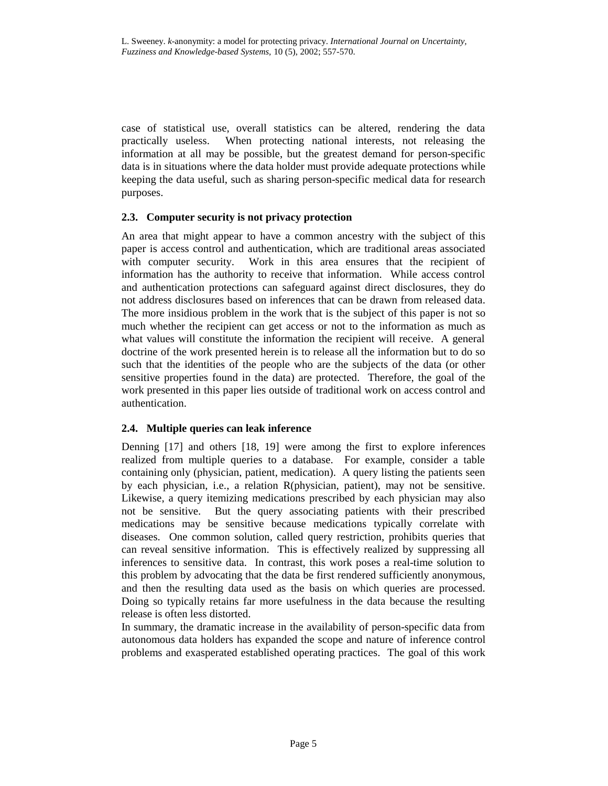case of statistical use, overall statistics can be altered, rendering the data practically useless. When protecting national interests, not releasing the information at all may be possible, but the greatest demand for person-specific data is in situations where the data holder must provide adequate protections while keeping the data useful, such as sharing person-specific medical data for research purposes.

## **2.3. Computer security is not privacy protection**

An area that might appear to have a common ancestry with the subject of this paper is access control and authentication, which are traditional areas associated with computer security. Work in this area ensures that the recipient of information has the authority to receive that information. While access control and authentication protections can safeguard against direct disclosures, they do not address disclosures based on inferences that can be drawn from released data. The more insidious problem in the work that is the subject of this paper is not so much whether the recipient can get access or not to the information as much as what values will constitute the information the recipient will receive. A general doctrine of the work presented herein is to release all the information but to do so such that the identities of the people who are the subjects of the data (or other sensitive properties found in the data) are protected. Therefore, the goal of the work presented in this paper lies outside of traditional work on access control and authentication.

# **2.4. Multiple queries can leak inference**

Denning [17] and others [18, 19] were among the first to explore inferences realized from multiple queries to a database. For example, consider a table containing only (physician, patient, medication). A query listing the patients seen by each physician, i.e., a relation R(physician, patient), may not be sensitive. Likewise, a query itemizing medications prescribed by each physician may also not be sensitive. But the query associating patients with their prescribed medications may be sensitive because medications typically correlate with diseases. One common solution, called query restriction, prohibits queries that can reveal sensitive information. This is effectively realized by suppressing all inferences to sensitive data. In contrast, this work poses a real-time solution to this problem by advocating that the data be first rendered sufficiently anonymous, and then the resulting data used as the basis on which queries are processed. Doing so typically retains far more usefulness in the data because the resulting release is often less distorted.

In summary, the dramatic increase in the availability of person-specific data from autonomous data holders has expanded the scope and nature of inference control problems and exasperated established operating practices. The goal of this work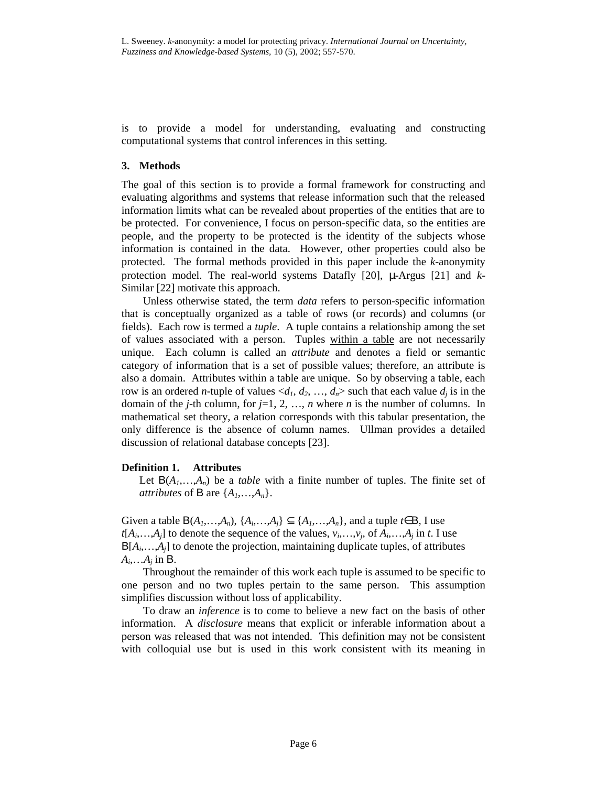is to provide a model for understanding, evaluating and constructing computational systems that control inferences in this setting.

#### **3. Methods**

The goal of this section is to provide a formal framework for constructing and evaluating algorithms and systems that release information such that the released information limits what can be revealed about properties of the entities that are to be protected. For convenience, I focus on person-specific data, so the entities are people, and the property to be protected is the identity of the subjects whose information is contained in the data. However, other properties could also be protected. The formal methods provided in this paper include the *k*-anonymity protection model. The real-world systems Datafly [20], µ-Argus [21] and *k*-Similar [22] motivate this approach.

Unless otherwise stated, the term *data* refers to person-specific information that is conceptually organized as a table of rows (or records) and columns (or fields). Each row is termed a *tuple*. A tuple contains a relationship among the set of values associated with a person. Tuples within a table are not necessarily unique. Each column is called an *attribute* and denotes a field or semantic category of information that is a set of possible values; therefore, an attribute is also a domain. Attributes within a table are unique. So by observing a table, each row is an ordered *n*-tuple of values  $\langle d_1, d_2, ..., d_n \rangle$  such that each value  $d_i$  is in the domain of the *j*-th column, for *j*=1, 2, …, *n* where *n* is the number of columns. In mathematical set theory, a relation corresponds with this tabular presentation, the only difference is the absence of column names. Ullman provides a detailed discussion of relational database concepts [23].

#### **Definition 1. Attributes**

Let  $B(A_1,...,A_n)$  be a *table* with a finite number of tuples. The finite set of *attributes* of **B** are  $\{A_1, \ldots, A_n\}$ .

Given a table  $B(A_1,...,A_n)$ ,  $\{A_i,...,A_j\} \subseteq \{A_1,...,A_n\}$ , and a tuple  $t \in B$ , I use  $t[A_i, \ldots, A_i]$  to denote the sequence of the values,  $v_i, \ldots, v_i$ , of  $A_i, \ldots, A_i$  in *t*. I use B[*Ai*,…,*Aj*] to denote the projection, maintaining duplicate tuples, of attributes *Ai*,…*Aj* in B.

Throughout the remainder of this work each tuple is assumed to be specific to one person and no two tuples pertain to the same person. This assumption simplifies discussion without loss of applicability.

To draw an *inference* is to come to believe a new fact on the basis of other information. A *disclosure* means that explicit or inferable information about a person was released that was not intended. This definition may not be consistent with colloquial use but is used in this work consistent with its meaning in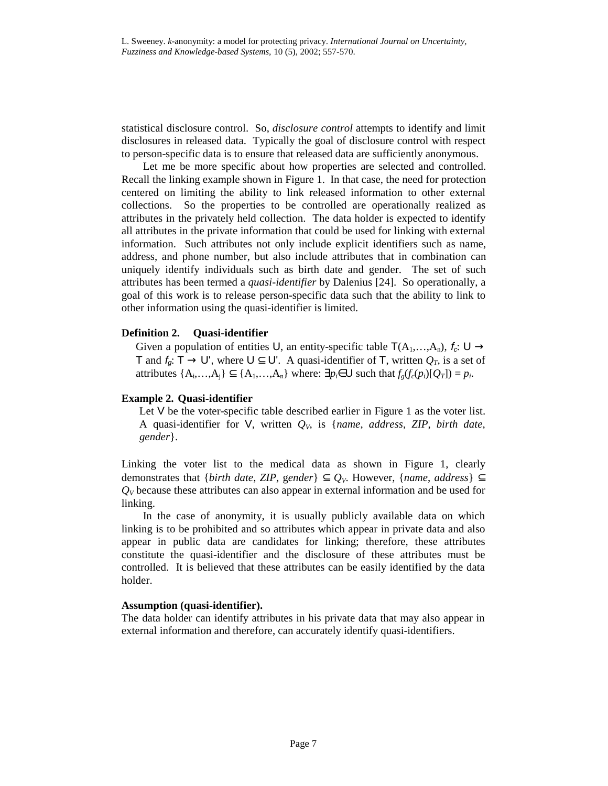statistical disclosure control. So, *disclosure control* attempts to identify and limit disclosures in released data. Typically the goal of disclosure control with respect to person-specific data is to ensure that released data are sufficiently anonymous.

Let me be more specific about how properties are selected and controlled. Recall the linking example shown in Figure 1. In that case, the need for protection centered on limiting the ability to link released information to other external collections. So the properties to be controlled are operationally realized as attributes in the privately held collection. The data holder is expected to identify all attributes in the private information that could be used for linking with external information. Such attributes not only include explicit identifiers such as name, address, and phone number, but also include attributes that in combination can uniquely identify individuals such as birth date and gender. The set of such attributes has been termed a *quasi-identifier* by Dalenius [24]. So operationally, a goal of this work is to release person-specific data such that the ability to link to other information using the quasi-identifier is limited.

## **Definition 2. Quasi-identifier**

Given a population of entities U, an entity-specific table  $T(A_1,...,A_n)$ ,  $f_c: U \rightarrow$ T and  $f_a: T \to U'$ , where  $U \subseteq U'$ . A quasi-identifier of T, written  $Q_T$ , is a set of attributes  $\{A_i, ..., A_i\} \subseteq \{A_1, ..., A_n\}$  where:  $\exists p_i \in U$  such that  $f_e(f_c(p_i)[Q_T]) = p_i$ .

## **Example 2. Quasi-identifier**

Let V be the voter-specific table described earlier in Figure 1 as the voter list. A quasi-identifier for  $V$ , written  $Q_V$ , is {*name*, *address*, *ZIP*, *birth date*, *gender*}.

Linking the voter list to the medical data as shown in Figure 1, clearly demonstrates that {*birth date, ZIP, gender*}  $\subseteq Q_V$ . However, {*name, address*}  $\subseteq$  $Q_V$  because these attributes can also appear in external information and be used for linking.

In the case of anonymity, it is usually publicly available data on which linking is to be prohibited and so attributes which appear in private data and also appear in public data are candidates for linking; therefore, these attributes constitute the quasi-identifier and the disclosure of these attributes must be controlled. It is believed that these attributes can be easily identified by the data holder.

## **Assumption (quasi-identifier).**

The data holder can identify attributes in his private data that may also appear in external information and therefore, can accurately identify quasi-identifiers.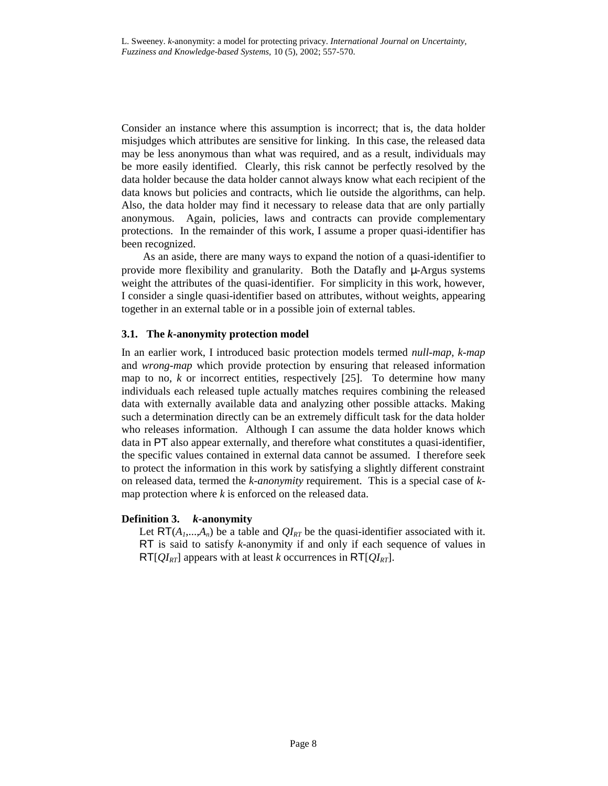Consider an instance where this assumption is incorrect; that is, the data holder misjudges which attributes are sensitive for linking. In this case, the released data may be less anonymous than what was required, and as a result, individuals may be more easily identified. Clearly, this risk cannot be perfectly resolved by the data holder because the data holder cannot always know what each recipient of the data knows but policies and contracts, which lie outside the algorithms, can help. Also, the data holder may find it necessary to release data that are only partially anonymous. Again, policies, laws and contracts can provide complementary protections. In the remainder of this work, I assume a proper quasi-identifier has been recognized.

As an aside, there are many ways to expand the notion of a quasi-identifier to provide more flexibility and granularity. Both the Datafly and  $\mu$ -Argus systems weight the attributes of the quasi-identifier. For simplicity in this work, however, I consider a single quasi-identifier based on attributes, without weights, appearing together in an external table or in a possible join of external tables.

## **3.1. The** *k***-anonymity protection model**

In an earlier work, I introduced basic protection models termed *null-map*, *k-map* and *wrong-map* which provide protection by ensuring that released information map to no, *k* or incorrect entities, respectively [25]. To determine how many individuals each released tuple actually matches requires combining the released data with externally available data and analyzing other possible attacks. Making such a determination directly can be an extremely difficult task for the data holder who releases information. Although I can assume the data holder knows which data in PT also appear externally, and therefore what constitutes a quasi-identifier, the specific values contained in external data cannot be assumed. I therefore seek to protect the information in this work by satisfying a slightly different constraint on released data, termed the *k-anonymity* requirement. This is a special case of *k*map protection where *k* is enforced on the released data.

#### **Definition 3.** *k***-anonymity**

Let  $RT(A_1,...,A_n)$  be a table and  $QI_{RT}$  be the quasi-identifier associated with it. RT is said to satisfy *k*-anonymity if and only if each sequence of values in  $RT[QI_{RT}]$  appears with at least *k* occurrences in  $RT[QI_{RT}]$ .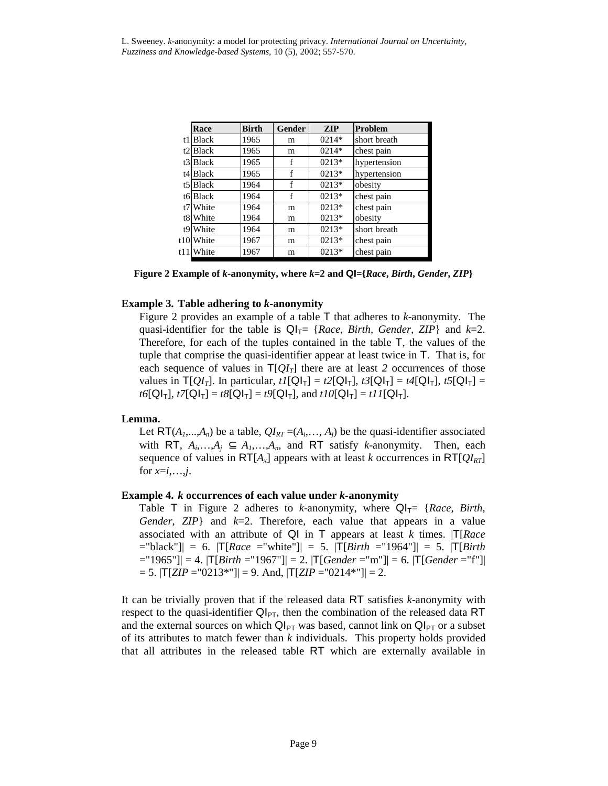|        | Race         | <b>Birth</b> | <b>Gender</b> | <b>ZIP</b> | Problem      |  |  |  |
|--------|--------------|--------------|---------------|------------|--------------|--|--|--|
| t1     | <b>Black</b> | 1965         | m             | $0214*$    | short breath |  |  |  |
| t2     | <b>Black</b> | 1965         | m             | $0214*$    | chest pain   |  |  |  |
|        | $t3$ Black   | 1965         | f             | $0213*$    | hypertension |  |  |  |
|        | t4 Black     | 1965         | f             | $0213*$    | hypertension |  |  |  |
|        | t5 Black     | 1964         | f             | $0213*$    | obesity      |  |  |  |
|        | t6 Black     | 1964         | f             | $0213*$    | chest pain   |  |  |  |
|        | t7 White     | 1964         | m             | $0213*$    | chest pain   |  |  |  |
|        | t8 White     | 1964         | m             | $0213*$    | obesity      |  |  |  |
| t9     | White        | 1964         | m             | $0213*$    | short breath |  |  |  |
| t10    | White        | 1967         | m             | $0213*$    | chest pain   |  |  |  |
| t $11$ | White        | 1967         | m             | $0213*$    | chest pain   |  |  |  |

**Figure 2 Example of** *k***-anonymity, where** *k***=2 and QI={***Race***,** *Birth***,** *Gender***,** *ZIP***}**

### **Example 3. Table adhering to** *k***-anonymity**

Figure 2 provides an example of a table T that adheres to *k*-anonymity. The quasi-identifier for the table is  $Q|_{T} = \{Race, Birth, Gender, ZIP\}$  and  $k=2$ . Therefore, for each of the tuples contained in the table T, the values of the tuple that comprise the quasi-identifier appear at least twice in T. That is, for each sequence of values in  $T[QI_T]$  there are at least 2 occurrences of those values in  $T[QI_T]$ . In particular,  $tI[QI_T] = t2[QI_T]$ ,  $t3[QI_T] = t4[QI_T]$ ,  $t5[QI_T] =$  $t6[QI_T]$ ,  $t7[QI_T] = t8[QI_T] = t9[QI_T]$ , and  $t10[QI_T] = t1I[QI_T]$ .

#### **Lemma.**

Let  $RT(A_1,...,A_n)$  be a table,  $QI_{RT} = (A_i,..., A_i)$  be the quasi-identifier associated with RT,  $A_i$ ,  $A_j \subseteq A_1$ ,  $A_n$ , and RT satisfy *k*-anonymity. Then, each sequence of values in  $RT[A_x]$  appears with at least *k* occurrences in  $RT[QI_{RT}]$ for  $x=i,\ldots,i$ .

#### **Example 4.** *k* **occurrences of each value under** *k***-anonymity**

Table  $\overline{\phantom{a}}$  In Figure 2 adheres to *k*-anonymity, where  $\overline{\bf Q}|_{\tau} = \{Race, Birth,$ *Gender*, *ZIP*} and *k*=2. Therefore, each value that appears in a value associated with an attribute of QI in T appears at least *k* times. |T[*Race* ="black"]| = 6. |T[*Race* ="white"]| = 5. |T[*Birth* ="1964"]| = 5. |T[*Birth* ="1965"]| = 4. |T[*Birth* ="1967"]| = 2. |T[*Gender* ="m"]| = 6. |T[*Gender* ="f"]|  $= 5$ .  $|T[ZIP = "0213*"] = 9$ . And,  $|T[ZIP = "0214*"] = 2$ .

It can be trivially proven that if the released data RT satisfies *k*-anonymity with respect to the quasi-identifier  $Q|_{PT}$ , then the combination of the released data RT and the external sources on which  $Q|_{PT}$  was based, cannot link on  $Q|_{PT}$  or a subset of its attributes to match fewer than *k* individuals. This property holds provided that all attributes in the released table RT which are externally available in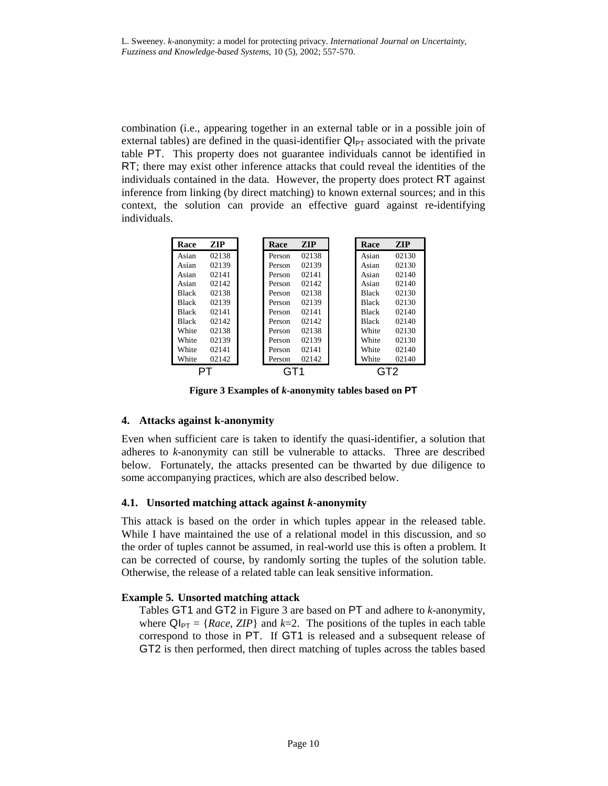combination (i.e., appearing together in an external table or in a possible join of external tables) are defined in the quasi-identifier  $QI_{PT}$  associated with the private table PT. This property does not guarantee individuals cannot be identified in RT; there may exist other inference attacks that could reveal the identities of the individuals contained in the data. However, the property does protect RT against inference from linking (by direct matching) to known external sources; and in this context, the solution can provide an effective guard against re-identifying individuals.

| Race         | ZIP   | Race   | <b>ZIP</b> | Race         | <b>ZIP</b> |
|--------------|-------|--------|------------|--------------|------------|
| Asian        | 02138 | Person | 02138      | Asian        | 02130      |
| Asian        | 02139 | Person | 02139      | Asian        | 02130      |
| Asian        | 02141 | Person | 02141      | Asian        | 02140      |
| Asian        | 02142 | Person | 02142      | Asian        | 02140      |
| Black        | 02138 | Person | 02138      | <b>Black</b> | 02130      |
| <b>Black</b> | 02139 | Person | 02139      | <b>Black</b> | 02130      |
| <b>Black</b> | 02141 | Person | 02141      | <b>Black</b> | 02140      |
| <b>Black</b> | 02142 | Person | 02142      | <b>Black</b> | 02140      |
| White        | 02138 | Person | 02138      | White        | 02130      |
| White        | 02139 | Person | 02139      | White        | 02130      |
| White        | 02141 | Person | 02141      | White        | 02140      |
| White        | 02142 | Person | 02142      | White        | 02140      |
|              |       |        |            |              | GT2        |

**Figure 3 Examples of** *k***-anonymity tables based on PT**

## **4. Attacks against k-anonymity**

Even when sufficient care is taken to identify the quasi-identifier, a solution that adheres to *k*-anonymity can still be vulnerable to attacks. Three are described below. Fortunately, the attacks presented can be thwarted by due diligence to some accompanying practices, which are also described below.

## **4.1. Unsorted matching attack against** *k***-anonymity**

This attack is based on the order in which tuples appear in the released table. While I have maintained the use of a relational model in this discussion, and so the order of tuples cannot be assumed, in real-world use this is often a problem. It can be corrected of course, by randomly sorting the tuples of the solution table. Otherwise, the release of a related table can leak sensitive information.

# **Example 5. Unsorted matching attack**

Tables GT1 and GT2 in Figure 3 are based on PT and adhere to *k*-anonymity, where  $Q|_{PT} = \{Race, ZIP\}$  and  $k=2$ . The positions of the tuples in each table correspond to those in PT. If GT1 is released and a subsequent release of GT2 is then performed, then direct matching of tuples across the tables based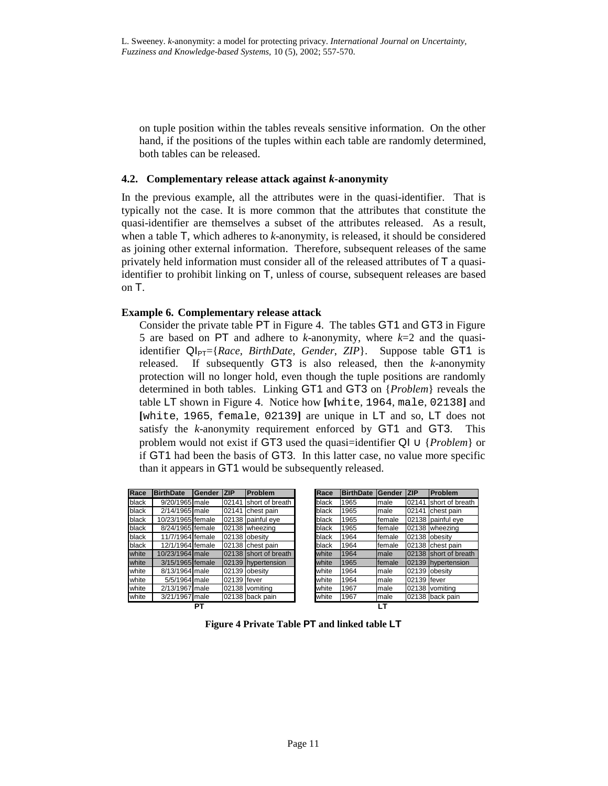on tuple position within the tables reveals sensitive information. On the other hand, if the positions of the tuples within each table are randomly determined, both tables can be released.

#### **4.2. Complementary release attack against** *k***-anonymity**

In the previous example, all the attributes were in the quasi-identifier. That is typically not the case. It is more common that the attributes that constitute the quasi-identifier are themselves a subset of the attributes released. As a result, when a table T, which adheres to *k*-anonymity, is released, it should be considered as joining other external information. Therefore, subsequent releases of the same privately held information must consider all of the released attributes of T a quasiidentifier to prohibit linking on T, unless of course, subsequent releases are based on T.

### **Example 6. Complementary release attack**

Consider the private table PT in Figure 4. The tables GT1 and GT3 in Figure 5 are based on PT and adhere to *k*-anonymity, where *k*=2 and the quasiidentifier  $Q|_{PT} = \{Race, BirthDate, Gender, ZIP\}$ . Suppose table GT1 is released. If subsequently GT3 is also released, then the *k*-anonymity protection will no longer hold, even though the tuple positions are randomly determined in both tables. Linking GT1 and GT3 on {*Problem*} reveals the table LT shown in Figure 4. Notice how **[**white, 1964, male, 02138**]** and **[**white, 1965, female, 02139**]** are unique in LT and so, LT does not satisfy the *k*-anonymity requirement enforced by GT1 and GT3. This problem would not exist if GT3 used the quasi=identifier QI ∪ {*Problem*} or if GT1 had been the basis of GT3. In this latter case, no value more specific than it appears in GT1 would be subsequently released.

| Race  | <b>BirthDate</b>  | Gender | <b>ZIP</b> | Problem               | Race  | <b>BirthDate</b> | Gender | <b>ZIP</b>   | Problem               |
|-------|-------------------|--------|------------|-----------------------|-------|------------------|--------|--------------|-----------------------|
| black | 9/20/1965 male    |        | 02141      | short of breath       | black | 1965             | male   | 02141        | short of breath       |
| black | 2/14/1965 male    |        |            | 02141 chest pain      | black | 1965             | male   | 02141        | chest pain            |
| black | 10/23/1965 female |        |            | 02138 painful eye     | black | 1965             | female |              | 02138 painful eye     |
| black | 8/24/1965 female  |        |            | 02138 wheezing        | black | 1965             | female |              | 02138 wheezing        |
| black | 11/7/1964 female  |        |            | 02138 obesity         | black | 1964             | female |              | 02138 lobesity        |
| black | 12/1/1964 female  |        |            | 02138 chest pain      | black | 1964             | female |              | 02138 chest pain      |
| white | 10/23/1964 male   |        |            | 02138 short of breath | white | 1964             | male   |              | 02138 short of breath |
| white | 3/15/1965 female  |        |            | 02139 hypertension    | white | 1965             | female |              | 02139 hypertension    |
| white | 8/13/1964 male    |        |            | 02139 lobesity        | white | 1964             | male   |              | 02139 lobesity        |
| white | 5/5/1964 male     |        | 02139      | fever                 | white | 1964             | male   | 02139 Ifever |                       |
| white | 2/13/1967 male    |        |            | 02138 vomiting        | white | 1967             | male   |              | 02138 vomiting        |
| white | 3/21/1967 male    |        |            | 02138 back pain       | white | 1967             | male   |              | 02138 back pain       |
|       |                   | PТ     |            |                       |       |                  | LΤ     |              |                       |

| Race  | <b>BirthDate</b> | <b>IGender</b> | <b>IZIP</b> | Problem               |
|-------|------------------|----------------|-------------|-----------------------|
| black | 1965             | male           | 02141       | short of breath       |
| black | 1965             | male           | 02141       | chest pain            |
| black | 1965             | female         |             | 02138 painful eye     |
| black | 1965             | female         |             | 02138 wheezing        |
| black | 1964             | female         |             | 02138 obesity         |
| black | 1964             | female         |             | 02138 chest pain      |
| white | 1964             | male           |             | 02138 short of breath |
| white | 1965             | female         |             | 02139 hypertension    |
| white | 1964             | male           | 02139       | obesity               |
| white | 1964             | male           | 02139 fever |                       |
| white | 1967             | male           |             | 02138 vomiting        |
| white | 1967             | male           |             | 02138 back pain       |

**Figure 4 Private Table PT and linked table LT**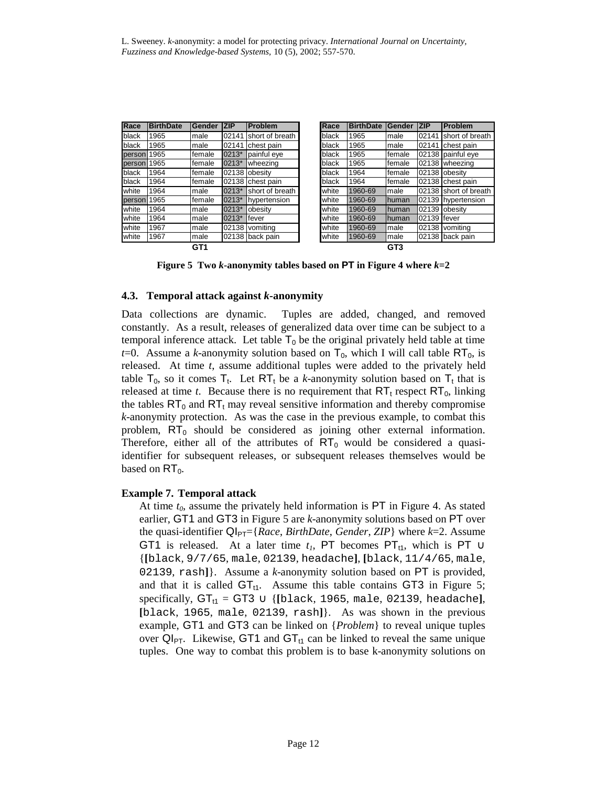| Race   | <b>BirthDate</b> | Gender          | <b>ZIP</b> | <b>Problem</b>   | Race  | <b>BirthDate</b> | <b>Gender</b>   | <b>ZIP</b>   | Problem               |
|--------|------------------|-----------------|------------|------------------|-------|------------------|-----------------|--------------|-----------------------|
| black  | 1965             | male            | 02141      | short of breath  | black | 1965             | male            | 02141        | short of breath       |
| black  | 1965             | male            | 02141      | chest pain       | black | 1965             | male            | 02141        | chest pain            |
| person | 1965             | female          | 0213*      | painful eve      | black | 1965             | female          |              | 02138 painful eye     |
| person | 1965             | female          | 0213*      | wheezing         | black | 1965             | lfemale         |              | 02138 wheezing        |
| black  | 1964             | female          | 02138      | lobesity         | black | 1964             | lfemale         |              | 02138 obesity         |
| black  | 1964             | female          |            | 02138 chest pain | black | 1964             | female          |              | 02138 chest pain      |
| white  | 1964             | male            | 0213*      | short of breath  | white | 1960-69          | male            |              | 02138 short of breath |
| person | 1965             | female          | 0213*      | hypertension     | white | 1960-69          | <b>I</b> human  |              | 02139 hypertension    |
| white  | 1964             | male            | 0213*      | obesity          | white | 1960-69          | <u>Ihuman</u>   | 02139        | obesity               |
| white  | 1964             | male            | 0213*      | fever            | white | 1960-69          | Ihuman          | 02139 Ifever |                       |
| white  | 1967             | male            |            | 02138 vomiting   | white | 1960-69          | male            | 02138        | vomitina              |
| white  | 1967             | male            |            | 02138 back pain  | white | 1960-69          | male            |              | 02138 back pain       |
|        |                  | GT <sub>1</sub> |            |                  |       |                  | GT <sub>3</sub> |              |                       |

**Figure 5 Two** *k***-anonymity tables based on PT in Figure 4 where** *k***=2**

### **4.3. Temporal attack against** *k***-anonymity**

Data collections are dynamic. Tuples are added, changed, and removed constantly. As a result, releases of generalized data over time can be subject to a temporal inference attack. Let table  $T_0$  be the original privately held table at time *t*=0. Assume a *k*-anonymity solution based on  $T_0$ , which I will call table  $RT_0$ , is released. At time *t*, assume additional tuples were added to the privately held table  $T_0$ , so it comes  $T_t$ . Let  $RT_t$  be a *k*-anonymity solution based on  $T_t$  that is released at time *t*. Because there is no requirement that  $RT_t$  respect  $RT_0$ , linking the tables  $RT_0$  and  $RT_t$  may reveal sensitive information and thereby compromise *k*-anonymity protection. As was the case in the previous example, to combat this problem,  $RT_0$  should be considered as joining other external information. Therefore, either all of the attributes of  $RT_0$  would be considered a quasiidentifier for subsequent releases, or subsequent releases themselves would be based on  $RT_0$ .

## **Example 7. Temporal attack**

At time  $t_0$ , assume the privately held information is  $PT$  in Figure 4. As stated earlier, GT1 and GT3 in Figure 5 are *k*-anonymity solutions based on PT over the quasi-identifier QIPT={*Race*, *BirthDate*, *Gender*, *ZIP*} where *k*=2. Assume GT1 is released. At a later time  $t_1$ , PT becomes PT<sub>t1</sub>, which is PT  $\cup$ {**[**black, 9/7/65, male, 02139, headache**]**, **[**black, 11/4/65, male, 02139, rash**]**}. Assume a *k*-anonymity solution based on PT is provided, and that it is called  $GT_{t1}$ . Assume this table contains GT3 in Figure 5; specifically,  $GT_{t1} = GT3 \cup \{[\text{black}, 1965, \text{male}, 02139, \text{headache}]\}$ **[**black, 1965, male, 02139, rash**]**}. As was shown in the previous example, GT1 and GT3 can be linked on {*Problem*} to reveal unique tuples over  $QI_{PT}$ . Likewise, GT1 and GT<sub>t1</sub> can be linked to reveal the same unique tuples. One way to combat this problem is to base k-anonymity solutions on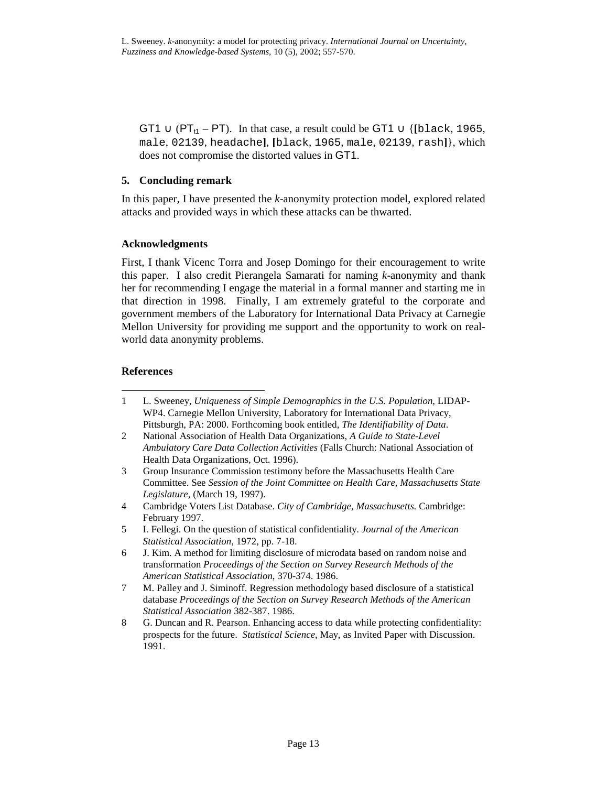GT1  $\cup$  (PT<sub>t1</sub> – PT). In that case, a result could be GT1  $\cup$  {[black, 1965, male, 02139, headache**]**, **[**black, 1965, male, 02139, rash**]**}, which does not compromise the distorted values in GT1.

## **5. Concluding remark**

In this paper, I have presented the *k*-anonymity protection model, explored related attacks and provided ways in which these attacks can be thwarted.

## **Acknowledgments**

First, I thank Vicenc Torra and Josep Domingo for their encouragement to write this paper. I also credit Pierangela Samarati for naming *k*-anonymity and thank her for recommending I engage the material in a formal manner and starting me in that direction in 1998. Finally, I am extremely grateful to the corporate and government members of the Laboratory for International Data Privacy at Carnegie Mellon University for providing me support and the opportunity to work on realworld data anonymity problems.

## **References**

- 1 L. Sweeney, *Uniqueness of Simple Demographics in the U.S. Population*, LIDAP-WP4. Carnegie Mellon University, Laboratory for International Data Privacy, Pittsburgh, PA: 2000. Forthcoming book entitled, *The Identifiability of Data*.
- 2 National Association of Health Data Organizations, *A Guide to State-Level Ambulatory Care Data Collection Activities* (Falls Church: National Association of Health Data Organizations, Oct. 1996).
- 3 Group Insurance Commission testimony before the Massachusetts Health Care Committee. See *Session of the Joint Committee on Health Care, Massachusetts State Legislature*, (March 19, 1997).
- 4 Cambridge Voters List Database. *City of Cambridge, Massachusetts*. Cambridge: February 1997.
- 5 I. Fellegi. On the question of statistical confidentiality. *Journal of the American Statistical Association*, 1972, pp. 7-18.
- 6 J. Kim. A method for limiting disclosure of microdata based on random noise and transformation *Proceedings of the Section on Survey Research Methods of the American Statistical Association*, 370-374. 1986.
- 7 M. Palley and J. Siminoff. Regression methodology based disclosure of a statistical database *Proceedings of the Section on Survey Research Methods of the American Statistical Association* 382-387. 1986.
- 8 G. Duncan and R. Pearson. Enhancing access to data while protecting confidentiality: prospects for the future. *Statistical Science*, May, as Invited Paper with Discussion. 1991.